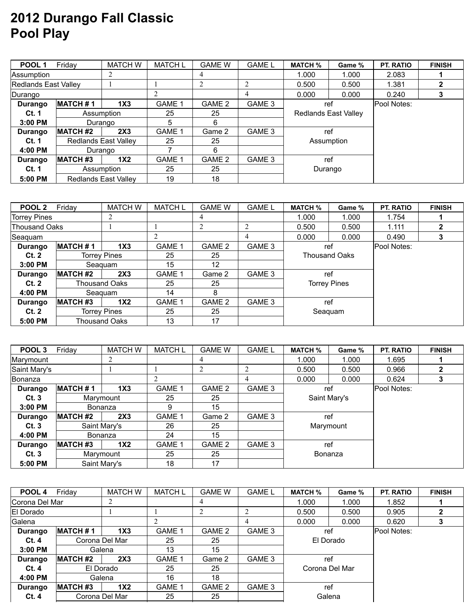## **2012 Durango Fall Classic Pool Play**

| POOL <sub>1</sub>           | Friday                      | <b>MATCH W</b>              | <b>MATCH L</b>    | <b>GAME W</b> | <b>GAME L</b> | <b>MATCH %</b> | Game %               | <b>PT. RATIO</b> | <b>FINISH</b> |
|-----------------------------|-----------------------------|-----------------------------|-------------------|---------------|---------------|----------------|----------------------|------------------|---------------|
| Assumption                  |                             | 2                           |                   | 4             |               | 1.000<br>1.000 |                      | 2.083            |               |
| <b>Redlands East Valley</b> |                             |                             |                   |               |               | 0.500          | 0.500                | 1.381            |               |
| Durango                     |                             |                             |                   |               |               | 0.000          | 0.000                | 0.240            |               |
| Durango                     | <b>MATCH#1</b>              | 1X3                         | GAME <sup>2</sup> | GAME 2        | GAME 3        | ref            |                      | Pool Notes:      |               |
| Ct. 1                       | Assumption                  |                             | 25                | 25            |               |                | Redlands East Valley |                  |               |
| $3:00$ PM                   | Durango                     |                             | 5                 | 6             |               |                |                      |                  |               |
| Durango                     | <b>MATCH #2</b>             | 2X3                         | <b>GAME 1</b>     | Game 2        | GAME 3        | ref            |                      |                  |               |
| Ct. 1                       | <b>Redlands East Vallev</b> |                             | 25                | 25            |               | Assumption     |                      |                  |               |
| 4:00 PM                     | Durango                     |                             |                   | 6             |               |                |                      |                  |               |
| Durango                     | <b>MATCH #3</b>             | 1X <sub>2</sub>             | GAME 1            | GAME 2        | GAME 3        | ref            |                      |                  |               |
| Ct. 1                       | Assumption                  |                             | 25                | 25            |               | Durango        |                      |                  |               |
| 5:00 PM                     |                             | <b>Redlands East Valley</b> | 19                | 18            |               |                |                      |                  |               |

| POOL <sub>2</sub>   | Friday               | <b>MATCH W</b>      | <b>MATCH L</b> | <b>GAME W</b>   | <b>GAME L</b> | <b>MATCH %</b>       | Game %              | <b>PT. RATIO</b> | <b>FINISH</b> |
|---------------------|----------------------|---------------------|----------------|-----------------|---------------|----------------------|---------------------|------------------|---------------|
| <b>Torrey Pines</b> |                      | 2                   |                | 4               |               | 1.000                | 1.000               | 1.754            |               |
|                     | <b>Thousand Oaks</b> |                     |                |                 |               | 0.500                | 0.500               | 1.111            |               |
| Seaquam             |                      |                     |                |                 | 4             | 0.000                | 0.000               |                  | 3             |
| Durango             | <b>MATCH #1</b>      | 1X <sub>3</sub>     | <b>GAME 1</b>  | GAME 2          | GAME 3        | ref                  |                     | Pool Notes:      |               |
| Ct.2                |                      | Torrey Pines        | 25             | 25              |               | <b>Thousand Oaks</b> |                     |                  |               |
| $3:00$ PM           | Seaguam              |                     | 15             | 12 <sup>°</sup> |               |                      |                     |                  |               |
| Durango             | <b>MATCH #2</b>      | 2X3                 | GAME 1         | Game 2          | GAME 3        | ref                  |                     |                  |               |
| Ct.2                | <b>Thousand Oaks</b> |                     | 25             | 25              |               |                      | <b>Torrey Pines</b> |                  |               |
| 4:00 PM             | Seaguam              |                     | 14             | 8               |               |                      |                     |                  |               |
| Durango             | <b>MATCH #3</b>      | 1X2                 | <b>GAME 1</b>  | GAME 2          | GAME 3        | ref                  |                     |                  |               |
| Ct.2                |                      | <b>Torrey Pines</b> | 25             | 25              |               | Seaquam              |                     |                  |               |
| 5:00 PM             | <b>Thousand Oaks</b> |                     | 13             | 17              |               |                      |                     |                  |               |

| POOL 3         | Friday          | <b>MATCH W</b>  | <b>MATCH L</b> | <b>GAME W</b> | <b>GAME L</b> | <b>MATCH %</b> | Game %    | <b>PT. RATIO</b> | <b>FINISH</b> |
|----------------|-----------------|-----------------|----------------|---------------|---------------|----------------|-----------|------------------|---------------|
| Marymount      |                 |                 |                |               |               | 1.000          | 1.000     | 1.695            |               |
| Saint Mary's   |                 |                 |                |               |               | 0.500          | 0.500     | 0.966            | 2             |
| <b>Bonanza</b> |                 |                 |                |               | 4             | 0.000          | 0.000     | 0.624            |               |
| Durango        | <b>MATCH#1</b>  | 1X3             | <b>GAME 1</b>  | GAME 2        | GAME 3        | ref            |           | Pool Notes:      |               |
| Ct.3           |                 | Marymount       | 25             | 25            |               | Saint Mary's   |           |                  |               |
| $3:00$ PM      |                 | <b>Bonanza</b>  | 9              | 15            |               |                |           |                  |               |
| Durango        | <b>MATCH #2</b> | 2X3             | <b>GAME 1</b>  | Game 2        | GAME 3        | ref            |           |                  |               |
| Ct.3           |                 | Saint Mary's    | 26             | 25            |               |                | Marymount |                  |               |
| 4:00 PM        |                 | <b>Bonanza</b>  | 24             | 15            |               |                |           |                  |               |
| Durango        | <b>MATCH #3</b> | 1X <sub>2</sub> | GAME 1         | GAME 2        | GAME 3        | ref            |           |                  |               |
| Ct.3           |                 | Marymount       | 25             | 25            |               | Bonanza        |           |                  |               |
| 5:00 PM        |                 | Saint Mary's    | 18             | 17            |               |                |           |                  |               |

| POOL 4            | Friday           | <b>MATCH W</b>  | <b>MATCH L</b> | <b>GAME W</b> | <b>GAME L</b> | <b>MATCH %</b> | Game % | <b>PT. RATIO</b> | <b>FINISH</b> |
|-------------------|------------------|-----------------|----------------|---------------|---------------|----------------|--------|------------------|---------------|
| Corona Del Mar    |                  |                 |                | 4             |               | 1.000          | 1.000  | 1.852            |               |
| <b>IEI Dorado</b> |                  |                 |                |               |               | 0.500          | 0.500  | 0.905            |               |
| Galena            |                  |                 |                |               | 4             | 0.000          | 0.000  | 0.620            |               |
| Durango           | <b>MATCH#1</b>   | 1X <sub>3</sub> | <b>GAME 1</b>  | GAME 2        | GAME 3        | ref            |        | Pool Notes:      |               |
| Ct.4              |                  | Corona Del Mar  | 25             | 25            |               | El Dorado      |        |                  |               |
| $3:00$ PM         |                  | Galena          | 13             | 15            |               |                |        |                  |               |
| Durango           | <b>MATCH #2</b>  | 2X3             | <b>GAME 1</b>  | Game 2        | GAME 3        | ref            |        |                  |               |
| Ct.4              |                  | El Dorado       | 25             | 25            |               | Corona Del Mar |        |                  |               |
| 4:00 PM           |                  | Galena          | 16             | 18            |               |                |        |                  |               |
| Durango           | <b>IMATCH #3</b> | 1X <sub>2</sub> | <b>GAME 1</b>  | GAME 2        | GAME 3        | ref            |        |                  |               |
| Ct.4              |                  | Corona Del Mar  | 25             | 25            |               | Galena         |        |                  |               |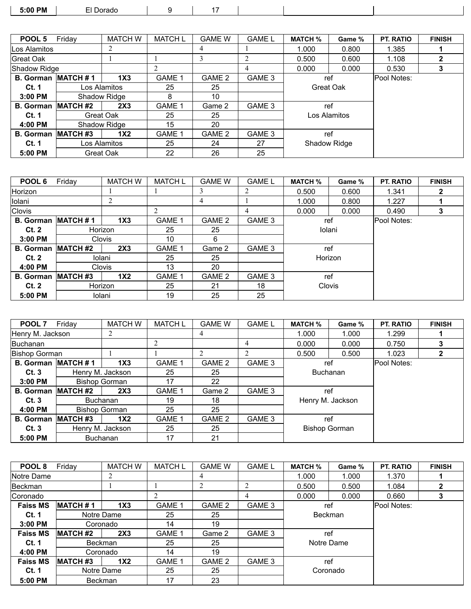| ፡:00 PM<br>. | oradu.<br>. |  |  |  |
|--------------|-------------|--|--|--|
|              |             |  |  |  |

| POOL 5           | Friday              | <b>MATCH W</b>      | <b>MATCH L</b> | <b>GAME W</b> | <b>GAME L</b> | <b>MATCH %</b> | Game % | <b>PT. RATIO</b> | <b>FINISH</b> |
|------------------|---------------------|---------------------|----------------|---------------|---------------|----------------|--------|------------------|---------------|
| Los Alamitos     |                     | 2                   |                | 4             |               | 1.000          | 0.800  | 1.385            |               |
| Great Oak        |                     |                     |                |               |               | 0.500          | 0.600  | 1.108            |               |
| Shadow Ridge     |                     |                     |                |               | 4             | 0.000          | 0.000  | 0.530            |               |
| <b>B.</b> Gorman | <b>MATCH#1</b>      | 1X <sub>3</sub>     | GAME 1         | GAME 2        | GAME 3        | ref            |        | Pool Notes:      |               |
| <b>Ct. 1</b>     |                     | Los Alamitos        | 25             | 25            |               | Great Oak      |        |                  |               |
| $3:00$ PM        |                     | <b>Shadow Ridge</b> | 8              | 10            |               |                |        |                  |               |
| <b>B.</b> Gorman | <b>MATCH #2</b>     | 2X3                 | <b>GAME 1</b>  | Game 2        | GAME 3        | ref            |        |                  |               |
| Ct. 1            | Great Oak           |                     | 25             | 25            |               | Los Alamitos   |        |                  |               |
| 4:00 PM          | Shadow Ridge        |                     | 15             | 20            |               |                |        |                  |               |
| <b>B.</b> Gorman | MATCH <sub>#3</sub> | 1X <sub>2</sub>     | GAME 1         | GAME 2        | GAME 3        | ref            |        |                  |               |
| Ct. 1            |                     | Los Alamitos        | 25             | 24            | 27            | Shadow Ridge   |        |                  |               |
| 5:00 PM          | Great Oak           |                     | 22             | 26            | 25            |                |        |                  |               |

| POOL 6           | Friday           | <b>MATCH W</b>  | <b>MATCH L</b>    | <b>GAME W</b> | <b>GAME L</b> | <b>MATCH %</b> | Game % | <b>PT. RATIO</b> | <b>FINISH</b> |
|------------------|------------------|-----------------|-------------------|---------------|---------------|----------------|--------|------------------|---------------|
| Horizon          |                  |                 |                   |               |               | 0.500          | 0.600  | 1.341            |               |
| Iolani           |                  | 2               |                   | 4             |               | 1.000          | 0.800  | 1.227            |               |
| Clovis           |                  |                 |                   |               | 4             | 0.000          | 0.000  | 0.490            | 3             |
| <b>B.</b> Gorman | <b>MATCH #1</b>  | 1X <sub>3</sub> | GAME <sup>-</sup> | GAME 2        | GAME 3        | ref            |        | Pool Notes:      |               |
| Ct.2             |                  | Horizon         | 25                | 25            |               | Iolani         |        |                  |               |
| $3:00$ PM        |                  | <b>Clovis</b>   | 10                | 6             |               |                |        |                  |               |
| <b>B.</b> Gorman | <b>IMATCH #2</b> | 2X3             | GAME <sup>1</sup> | Game 2        | GAME 3        | ref            |        |                  |               |
| Ct.2             |                  | Iolani          | 25                | 25            |               | Horizon        |        |                  |               |
| 4:00 PM          |                  | <b>Clovis</b>   | 13                | 20            |               |                |        |                  |               |
| <b>B.</b> Gorman | <b>MATCH #3</b>  | 1X <sub>2</sub> | GAME <sup>1</sup> | GAME 2        | GAME 3        | ref            |        |                  |               |
| Ct.2             |                  | Horizon         | 25                | 21            | 18            | Clovis         |        |                  |               |
| 5:00 PM          |                  | Iolani          | 19                | 25            | 25            |                |        |                  |               |

| POOL 7                    | Friday               | <b>MATCH W</b>       | <b>MATCH L</b> | <b>GAME W</b> | <b>GAME L</b> | <b>MATCH %</b>       | Game % | PT. RATIO   | <b>FINISH</b> |
|---------------------------|----------------------|----------------------|----------------|---------------|---------------|----------------------|--------|-------------|---------------|
| Henry M. Jackson          |                      | 2                    |                | 4             |               | 1.000                | 1.000  | 1.299       |               |
| Buchanan                  |                      |                      | 2              |               | 4             | 0.000                | 0.000  | 0.750       |               |
| Bishop Gorman             |                      |                      |                |               |               | 0.500                | 0.500  | 1.023       | 2             |
| B. Gorman MATCH #1        |                      | 1X3                  | GAME 1         | GAME 2        | GAME 3        | ref                  |        | Pool Notes: |               |
| Ct. 3                     | Henry M. Jackson     |                      | 25             | 25            |               | <b>Buchanan</b>      |        |             |               |
| $3:00$ PM                 |                      | <b>Bishop Gorman</b> | 17             | 22            |               |                      |        |             |               |
| <b>B. Gorman MATCH #2</b> |                      | 2X3                  | <b>GAME 1</b>  | Game 2        | GAME 3        | ref                  |        |             |               |
| Ct.3                      | <b>Buchanan</b>      |                      | 19             | 18            |               | Henry M. Jackson     |        |             |               |
| 4:00 PM                   | <b>Bishop Gorman</b> |                      | 25             | 25            |               |                      |        |             |               |
| <b>B. Gorman MATCH #3</b> |                      | 1X <sub>2</sub>      | GAME 1         | GAME 2        | GAME 3        | ref                  |        |             |               |
| Ct.3                      |                      | Henry M. Jackson     | 25             | 25            |               | <b>Bishop Gorman</b> |        |             |               |
| 5:00 PM                   | <b>Buchanan</b>      |                      | 17             | 21            |               |                      |        |             |               |

| POOL 8          | Friday          | <b>MATCH W</b>  | <b>MATCH L</b>    | <b>GAME W</b> | <b>GAME L</b> | <b>MATCH %</b> | Game % | <b>PT. RATIO</b> | <b>FINISH</b> |
|-----------------|-----------------|-----------------|-------------------|---------------|---------------|----------------|--------|------------------|---------------|
| Notre Dame      |                 | 2               |                   | 4             |               | 1.000          | 1.000  | 1.370            |               |
| Beckman         |                 |                 |                   |               |               | 0.500          | 0.500  | 1.084            |               |
| Coronado        |                 |                 |                   |               | 4             | 0.000          | 0.000  | 0.660            | 3             |
| <b>Faiss MS</b> | <b>MATCH#1</b>  | 1X <sub>3</sub> | <b>GAME 1</b>     | GAME 2        | GAME 3        | ref            |        | Pool Notes:      |               |
| Ct. 1           | Notre Dame      |                 | 25                | 25            |               | <b>Beckman</b> |        |                  |               |
| $3:00$ PM       | Coronado        |                 | 14                | 19            |               |                |        |                  |               |
| <b>Faiss MS</b> | <b>MATCH #2</b> | 2X3             | GAME <sup>1</sup> | Game 2        | GAME 3        | ref            |        |                  |               |
| Ct. 1           | <b>Beckman</b>  |                 | 25                | 25            |               | Notre Dame     |        |                  |               |
| 4:00 PM         | Coronado        |                 | 14                | 19            |               |                |        |                  |               |
| <b>Faiss MS</b> | <b>MATCH #3</b> | 1X2             | <b>GAME 1</b>     | GAME 2        | GAME 3        | ref            |        |                  |               |
| <b>Ct. 1</b>    | Notre Dame      |                 | 25                | 25            |               | Coronado       |        |                  |               |
| 5:00 PM         | <b>Beckman</b>  |                 | 17                | 23            |               |                |        |                  |               |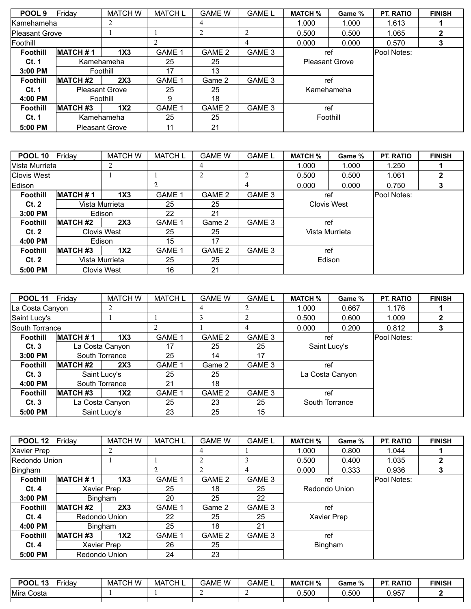| POOL <sub>9</sub>     | Friday                | <b>MATCH W</b>        | <b>MATCH L</b> | <b>GAME W</b> | <b>GAME L</b> | <b>MATCH %</b>        | Game % | <b>PT. RATIO</b> | <b>FINISH</b> |
|-----------------------|-----------------------|-----------------------|----------------|---------------|---------------|-----------------------|--------|------------------|---------------|
| <b>Kamehameha</b>     |                       |                       |                | 4             |               | 1.000                 | 1.000  | 1.613            |               |
| <b>Pleasant Grove</b> |                       |                       |                |               | ↑             | 0.500                 | 0.500  | 1.065            |               |
| Foothill              |                       |                       |                |               | 4             | 0.000                 | 0.000  | 0.570            |               |
| <b>Foothill</b>       | <b>MATCH #1</b>       | 1X <sub>3</sub>       | <b>GAME 1</b>  | GAME 2        | GAME 3        |                       | ref    | Pool Notes:      |               |
| Ct. 1                 |                       | Kamehameha            | 25             | 25            |               | <b>Pleasant Grove</b> |        |                  |               |
| $3:00$ PM             |                       | Foothill              | 17             | 13            |               |                       |        |                  |               |
| <b>Foothill</b>       | <b>MATCH #2</b>       | 2X3                   | <b>GAME 1</b>  | Game 2        | GAME 3        | ref                   |        |                  |               |
| Ct. 1                 | <b>Pleasant Grove</b> |                       | 25             | 25            |               | Kamehameha            |        |                  |               |
| 4:00 PM               |                       | Foothill              | 9              | 18            |               |                       |        |                  |               |
| <b>Foothill</b>       | <b>MATCH #3</b>       | 1X2                   | GAME 1         | GAME 2        | GAME 3        | ref                   |        |                  |               |
| Ct. 1                 |                       | Kamehameha            | 25             | 25            |               | Foothill              |        |                  |               |
| 5:00 PM               |                       | <b>Pleasant Grove</b> | 11             | 21            |               |                       |        |                  |               |

| <b>POOL 10</b>     | Fridav          | <b>MATCH W</b>     | <b>MATCH L</b> | <b>GAME W</b> | <b>GAME L</b> | <b>MATCH %</b> | Game %         | <b>PT. RATIO</b> | <b>FINISH</b> |
|--------------------|-----------------|--------------------|----------------|---------------|---------------|----------------|----------------|------------------|---------------|
| Vista Murrieta     |                 |                    |                | 4             |               | 1.000          | 1.000          | 1.250            |               |
| <b>Clovis West</b> |                 |                    |                | 2             |               | 0.500          | 0.500          | 1.061            | 2             |
| Edison             |                 |                    |                |               | 4             | 0.000          | 0.000          | 0.750            | 3             |
| <b>Foothill</b>    | <b>MATCH#1</b>  | 1X3                | GAME 1         | GAME 2        | GAME 3        | ref            |                | Pool Notes:      |               |
| Ct.2               |                 | Vista Murrieta     | 25             | 25            |               | Clovis West    |                |                  |               |
| $3:00$ PM          |                 | Edison             | 22             | 21            |               |                |                |                  |               |
| <b>Foothill</b>    | <b>MATCH #2</b> | 2X3                | GAME 1         | Game 2        | GAME 3        | ref            |                |                  |               |
| Ct.2               |                 | <b>Clovis West</b> | 25             | 25            |               |                | Vista Murrieta |                  |               |
| 4:00 PM            | Edison          |                    | 15             | 17            |               |                |                |                  |               |
| <b>Foothill</b>    | <b>MATCH #3</b> | 1X <sub>2</sub>    | <b>GAME 1</b>  | GAME 2        | GAME 3        | ref            |                |                  |               |
| Ct.2               |                 | Vista Murrieta     | 25             | 25            |               | Edison         |                |                  |               |
| 5:00 PM            |                 | <b>Clovis West</b> | 16             | 21            |               |                |                |                  |               |

| <b>POOL 11</b>  | Friday           | <b>MATCH W</b>  | <b>MATCH L</b> | <b>GAME W</b> | <b>GAME L</b> | <b>MATCH %</b> | Game %          | PT. RATIO   | <b>FINISH</b> |
|-----------------|------------------|-----------------|----------------|---------------|---------------|----------------|-----------------|-------------|---------------|
| La Costa Canyon |                  | 2               |                | 4             |               | 1.000          | 0.667           | 1.176       |               |
| Saint Lucy's    |                  |                 |                |               |               | 0.500          | 0.600           | 1.009       | 2             |
| South Torrance  |                  |                 | ↑              |               |               | 0.000          | 0.200           | 0.812       | 3             |
| <b>Foothill</b> | <b>MATCH #1</b>  | 1X <sub>3</sub> | <b>GAME 1</b>  | GAME 2        | GAME 3        |                | ref             | Pool Notes: |               |
| Ct.3            |                  | La Costa Canyon | 17             | 25            | 25            |                | Saint Lucy's    |             |               |
| $3:00$ PM       |                  | South Torrance  | 25             | 14            | 17            |                |                 |             |               |
| <b>Foothill</b> | <b>MATCH #2</b>  | 2X3             | <b>GAME 1</b>  | Game 2        | GAME 3        |                | ref             |             |               |
| Ct.3            |                  | Saint Lucy's    | 25             | 25            |               |                | La Costa Canyon |             |               |
| 4:00 PM         |                  | South Torrance  | 21             | 18            |               |                |                 |             |               |
| <b>Foothill</b> | <b>IMATCH #3</b> | 1X <sub>2</sub> | GAME 1         | GAME 2        | GAME 3        | ref            |                 |             |               |
| Ct.3            |                  | La Costa Canyon | 25             | 23            | 25            | South Torrance |                 |             |               |
| 5:00 PM         |                  | Saint Lucy's    | 23             | 25            | 15            |                |                 |             |               |

| <b>POOL 12</b>       | Friday          | <b>MATCH W</b>     | <b>MATCH L</b> | <b>GAME W</b> | <b>GAME L</b>     | <b>MATCH %</b> | Game % | <b>PT. RATIO</b> | <b>FINISH</b> |
|----------------------|-----------------|--------------------|----------------|---------------|-------------------|----------------|--------|------------------|---------------|
| <b>Xavier Prep</b>   |                 |                    |                | 4             |                   | 1.000<br>0.800 |        | 1.044            |               |
| <b>Redondo Union</b> |                 |                    |                |               |                   | 0.500          | 0.400  | 1.035            |               |
| Bingham              |                 |                    |                |               | 4                 | 0.000          | 0.333  | 0.936            |               |
| <b>Foothill</b>      | <b>MATCH#1</b>  | 1X <sub>3</sub>    | GAME 1         | GAME 2        | GAME 3            | ref            |        | Pool Notes:      |               |
| Ct.4                 |                 | <b>Xavier Prep</b> | 25             | 18            | 25                | Redondo Union  |        |                  |               |
| $3:00$ PM            |                 | <b>Bingham</b>     | 20             | 25            | 22                |                |        |                  |               |
| <b>Foothill</b>      | <b>MATCH #2</b> | 2X3                | <b>GAME 1</b>  | Game 2        | GAME 3            | ref            |        |                  |               |
| Ct.4                 |                 | Redondo Union      | 22             | 25            | 25                | Xavier Prep    |        |                  |               |
| 4:00 PM              |                 | <b>Bingham</b>     | 25             | 18            | 21                |                |        |                  |               |
| <b>Foothill</b>      | <b>MATCH #3</b> | 1X <sub>2</sub>    | GAME 1         | GAME 2        | GAME <sub>3</sub> | ref            |        |                  |               |
| Ct.4                 |                 | Xavier Prep        | 26             | 25            |                   | Bingham        |        |                  |               |
| 5:00 PM              |                 | Redondo Union      | 24             | 23            |                   |                |        |                  |               |

| Mira Costa<br>0.500<br>0.500<br>957.ل | <b>POOL</b><br>- 42<br>រ៴ | Friday | <b>MATCH W</b> | <b>MATCH L</b> | GAME W | GAME L | <b>MATCH %</b> | Game % | . RATIO<br><b>DT</b> | <b>FINISH</b> |
|---------------------------------------|---------------------------|--------|----------------|----------------|--------|--------|----------------|--------|----------------------|---------------|
|                                       |                           |        |                |                |        |        |                |        |                      |               |
|                                       |                           |        |                |                |        |        |                |        |                      |               |